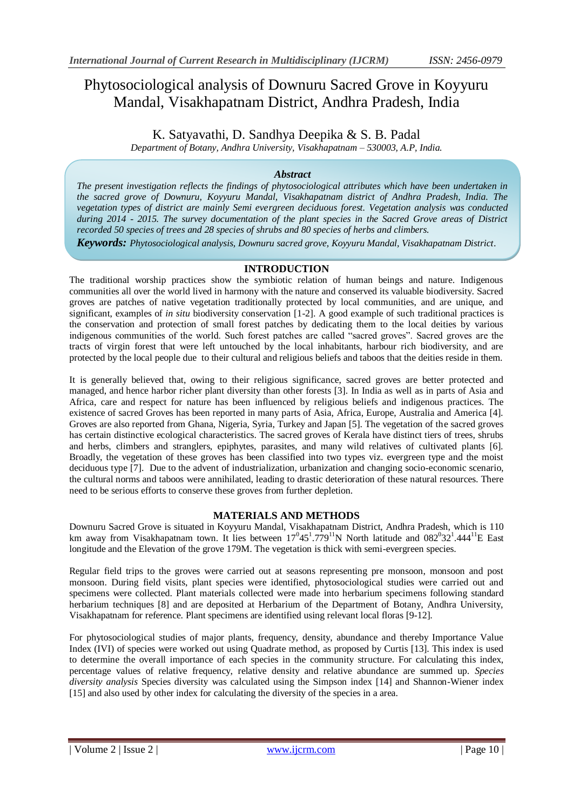# Phytosociological analysis of Downuru Sacred Grove in Koyyuru Mandal, Visakhapatnam District, Andhra Pradesh, India

K. Satyavathi, D. Sandhya Deepika & S. B. Padal

*Department of Botany, Andhra University, Visakhapatnam – 530003, A.P, India.*

# *Abstract*

*The present investigation reflects the findings of phytosociological attributes which have been undertaken in the sacred grove of Downuru, Koyyuru Mandal, Visakhapatnam district of Andhra Pradesh, India. The vegetation types of district are mainly Semi evergreen deciduous forest. Vegetation analysis was conducted during 2014 - 2015. The survey documentation of the plant species in the Sacred Grove areas of District recorded 50 species of trees and 28 species of shrubs and 80 species of herbs and climbers.* 

*Keywords: Phytosociological analysis, Downuru sacred grove, Koyyuru Mandal, Visakhapatnam District*.

## **INTRODUCTION**

The traditional worship practices show the symbiotic relation of human beings and nature. Indigenous communities all over the world lived in harmony with the nature and conserved its valuable biodiversity. Sacred groves are patches of native vegetation traditionally protected by local communities, and are unique, and significant, examples of *in situ* biodiversity conservation [1-2]. A good example of such traditional practices is the conservation and protection of small forest patches by dedicating them to the local deities by various indigenous communities of the world. Such forest patches are called "sacred groves". Sacred groves are the tracts of virgin forest that were left untouched by the local inhabitants, harbour rich biodiversity, and are protected by the local people due to their cultural and religious beliefs and taboos that the deities reside in them.

It is generally believed that, owing to their religious significance, sacred groves are better protected and managed, and hence harbor richer plant diversity than other forests [3]. In India as well as in parts of Asia and Africa, care and respect for nature has been influenced by religious beliefs and indigenous practices. The existence of sacred Groves has been reported in many parts of Asia, Africa, Europe, Australia and America [4]. Groves are also reported from Ghana, Nigeria, Syria, Turkey and Japan [5]. The vegetation of the sacred groves has certain distinctive ecological characteristics. The sacred groves of Kerala have distinct tiers of trees, shrubs and herbs, climbers and stranglers, epiphytes, parasites, and many wild relatives of cultivated plants [6]. Broadly, the vegetation of these groves has been classified into two types viz. evergreen type and the moist deciduous type [7]. Due to the advent of industrialization, urbanization and changing socio-economic scenario, the cultural norms and taboos were annihilated, leading to drastic deterioration of these natural resources. There need to be serious efforts to conserve these groves from further depletion.

### **MATERIALS AND METHODS**

Downuru Sacred Grove is situated in Koyyuru Mandal, Visakhapatnam District, Andhra Pradesh, which is 110 km away from Visakhapatnam town. It lies between  $17^0 45^1.779^{11}$ N North latitude and  $082^0 32^1.444^{11}$ E East longitude and the Elevation of the grove 179M. The vegetation is thick with semi-evergreen species.

Regular field trips to the groves were carried out at seasons representing pre monsoon, monsoon and post monsoon. During field visits, plant species were identified, phytosociological studies were carried out and specimens were collected. Plant materials collected were made into herbarium specimens following standard herbarium techniques [8] and are deposited at Herbarium of the Department of Botany, Andhra University, Visakhapatnam for reference. Plant specimens are identified using relevant local floras [9-12].

For phytosociological studies of major plants, frequency, density, abundance and thereby Importance Value Index (IVI) of species were worked out using Quadrate method, as proposed by Curtis [13]. This index is used to determine the overall importance of each species in the community structure. For calculating this index, percentage values of relative frequency, relative density and relative abundance are summed up. *Species diversity analysis* Species diversity was calculated using the Simpson index [14] and Shannon-Wiener index [15] and also used by other index for calculating the diversity of the species in a area.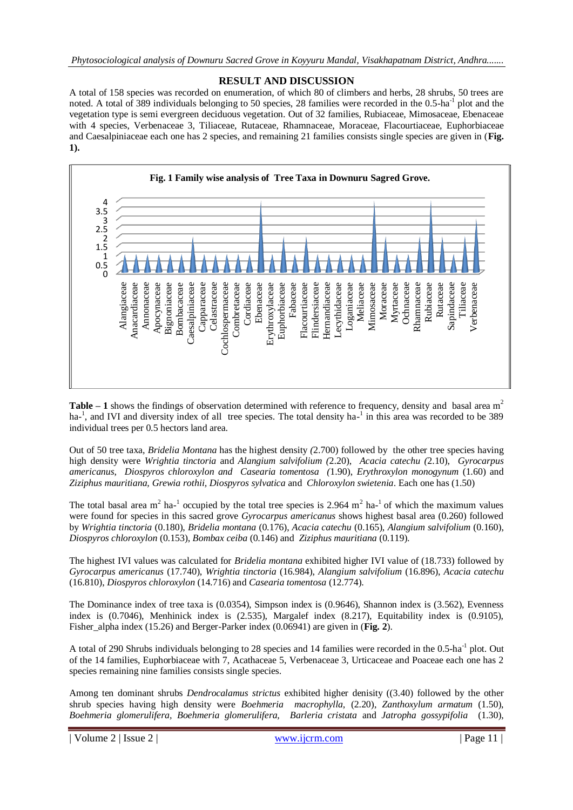# **RESULT AND DISCUSSION**

A total of 158 species was recorded on enumeration, of which 80 of climbers and herbs, 28 shrubs, 50 trees are noted. A total of 389 individuals belonging to 50 species, 28 families were recorded in the 0.5-ha<sup>-1</sup> plot and the vegetation type is semi evergreen deciduous vegetation. Out of 32 families, Rubiaceae, Mimosaceae, Ebenaceae with 4 species, Verbenaceae 3, Tiliaceae, Rutaceae, Rhamnaceae, Moraceae, Flacourtiaceae, Euphorbiaceae and Caesalpiniaceae each one has 2 species, and remaining 21 families consists single species are given in (**Fig. 1).**



Table – 1 shows the findings of observation determined with reference to frequency, density and basal area m<sup>2</sup> ha<sup>-1</sup>, and IVI and diversity index of all tree species. The total density ha<sup>-1</sup> in this area was recorded to be 389 individual trees per 0.5 hectors land area.

Out of 50 tree taxa, *Bridelia Montana* has the highest density *(*2.700) followed by the other tree species having high density were *Wrightia tinctoria* and *Alangium salvifolium (*2.20), *Acacia catechu (*2.10), *Gyrocarpus americanus*, *Diospyros chloroxylon and Casearia tomentosa (*1.90), *Erythroxylon monogynum* (1.60) and *Ziziphus mauritiana, Grewia rothii, Diospyros sylvatica* and *Chloroxylon swietenia*. Each one has (1.50)

The total basal area m<sup>2</sup> ha-<sup>1</sup> occupied by the total tree species is 2.964 m<sup>2</sup> ha-<sup>1</sup> of which the maximum values were found for species in this sacred grove *Gyrocarpus americanus* shows highest basal area (0.260) followed by *Wrightia tinctoria* (0.180), *Bridelia montana* (0.176), *Acacia catechu* (0.165), *Alangium salvifolium* (0.160), *Diospyros chloroxylon* (0.153), *Bombax ceiba* (0.146) and *Ziziphus mauritiana* (0.119).

The highest IVI values was calculated for *Bridelia montana* exhibited higher IVI value of (18.733) followed by *Gyrocarpus americanus* (17.740), *Wrightia tinctoria* (16.984), *Alangium salvifolium* (16.896), *Acacia catechu*  (16.810), *Diospyros chloroxylon* (14.716) and *Casearia tomentosa* (12.774).

The Dominance index of tree taxa is (0.0354), Simpson index is (0.9646), Shannon index is (3.562), Evenness index is (0.7046), Menhinick index is (2.535), Margalef index (8.217), Equitability index is (0.9105), Fisher alpha index (15.26) and Berger-Parker index (0.06941) are given in (**Fig. 2**).

A total of 290 Shrubs individuals belonging to 28 species and 14 families were recorded in the  $0.5$ -ha<sup>-1</sup> plot. Out of the 14 families, Euphorbiaceae with 7, Acathaceae 5, Verbenaceae 3, Urticaceae and Poaceae each one has 2 species remaining nine families consists single species.

Among ten dominant shrubs *Dendrocalamus strictus* exhibited higher denisity ((3.40) followed by the other shrub species having high density were *Boehmeria macrophylla,* (2.20), *Zanthoxylum armatum* (1.50), *Boehmeria glomerulifera, Boehmeria glomerulifera, Barleria cristata* and *Jatropha gossypifolia* (1.30),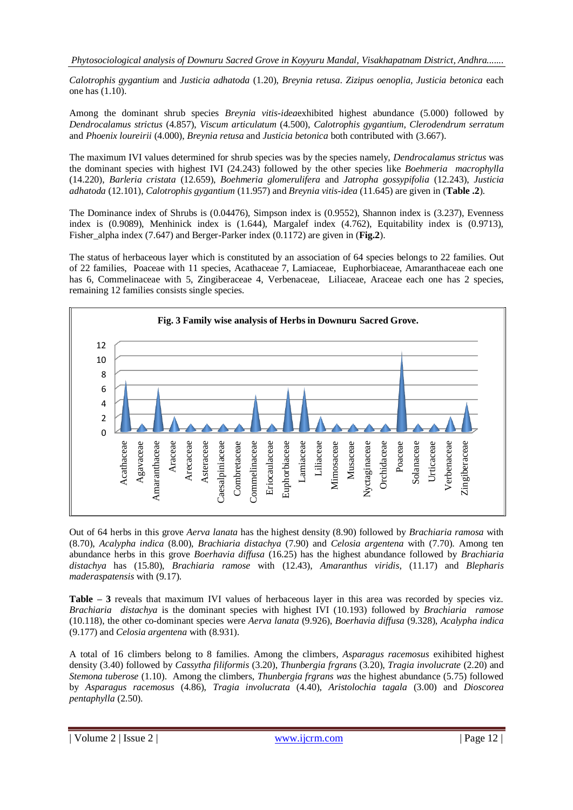*Calotrophis gygantium* and *Justicia adhatoda* (1.20), *Breynia retusa*. *Zizipus oenoplia, Justicia betonica* each one has (1.10).

Among the dominant shrub species *Breynia vitis-idea*exhibited highest abundance (5.000) followed by *Dendrocalamus strictus* (4.857), *Viscum articulatum* (4.500), *Calotrophis gygantium*, *Clerodendrum serratum* and *Phoenix loureirii* (4.000), *Breynia retusa* and *Justicia betonica* both contributed with (3.667).

The maximum IVI values determined for shrub species was by the species namely, *Dendrocalamus strictus* was the dominant species with highest IVI (24.243) followed by the other species like *Boehmeria macrophylla*  (14.220), *Barleria cristata* (12.659), *Boehmeria glomerulifera* and *Jatropha gossypifolia* (12.243), *Justicia adhatoda* (12.101), *Calotrophis gygantium* (11.957) and *Breynia vitis-idea* (11.645) are given in (**Table .2**).

The Dominance index of Shrubs is (0.04476), Simpson index is (0.9552), Shannon index is (3.237), Evenness index is (0.9089), Menhinick index is (1.644), Margalef index (4.762), Equitability index is (0.9713), Fisher alpha index (7.647) and Berger-Parker index (0.1172) are given in (**Fig.2**).

The status of herbaceous layer which is constituted by an association of 64 species belongs to 22 families. Out of 22 families, Poaceae with 11 species, Acathaceae 7, Lamiaceae, Euphorbiaceae, Amaranthaceae each one has 6, Commelinaceae with 5, Zingiberaceae 4, Verbenaceae, Liliaceae, Araceae each one has 2 species, remaining 12 families consists single species.



Out of 64 herbs in this grove *Aerva lanata* has the highest density (8.90) followed by *Brachiaria ramosa* with (8.70), *Acalypha indica* (8.00), *Brachiaria distachya* (7.90) and *Celosia argentena* with (7.70). Among ten abundance herbs in this grove *Boerhavia diffusa* (16.25) has the highest abundance followed by *Brachiaria distachya* has (15.80), *Brachiaria ramose* with (12.43), *Amaranthus viridis*, (11.17) and *Blepharis maderaspatensis* with (9.17).

**Table – 3** reveals that maximum IVI values of herbaceous layer in this area was recorded by species viz. *Brachiaria distachya* is the dominant species with highest IVI (10.193) followed by *Brachiaria ramose*  (10.118), the other co-dominant species were *Aerva lanata* (9.926), *Boerhavia diffusa* (9.328), *Acalypha indica*  (9.177) and *Celosia argentena* with (8.931).

A total of 16 climbers belong to 8 families. Among the climbers*, Asparagus racemosus* exihibited highest density (3.40) followed by *Cassytha filiformis* (3.20), *Thunbergia frgrans* (3.20), *Tragia involucrate* (2.20) and *Stemona tuberose* (1.10). Among the climbers, *Thunbergia frgrans was* the highest abundance (5.75) followed by *Asparagus racemosus* (4.86), *Tragia involucrata* (4.40), *Aristolochia tagala* (3.00) and *Dioscorea pentaphylla* (2.50).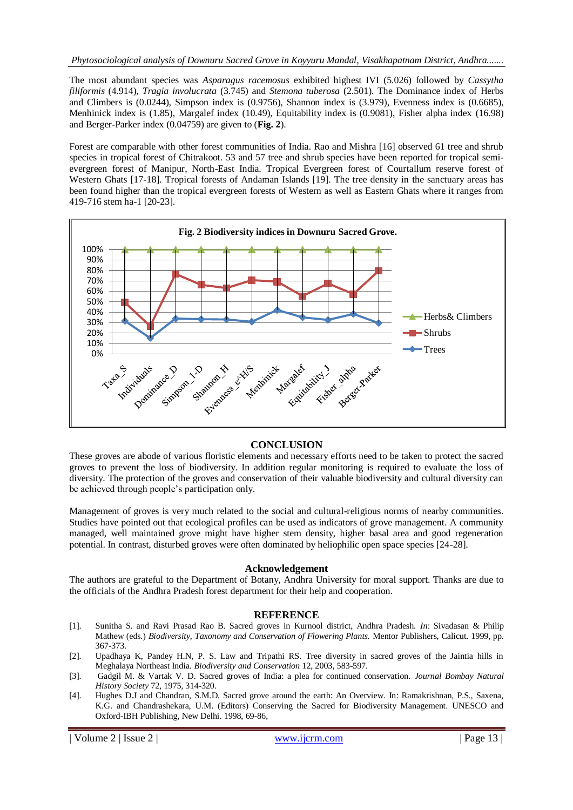The most abundant species was *Asparagus racemosus* exhibited highest IVI (5.026) followed by *Cassytha filiformis* (4.914), *Tragia involucrata* (3.745) and *Stemona tuberosa* (2.501). The Dominance index of Herbs and Climbers is (0.0244), Simpson index is (0.9756), Shannon index is (3.979), Evenness index is (0.6685), Menhinick index is (1.85), Margalef index (10.49), Equitability index is (0.9081), Fisher alpha index (16.98) and Berger-Parker index (0.04759) are given to (**Fig. 2**).

Forest are comparable with other forest communities of India. Rao and Mishra [16] observed 61 tree and shrub species in tropical forest of Chitrakoot. 53 and 57 tree and shrub species have been reported for tropical semievergreen forest of Manipur, North-East India. Tropical Evergreen forest of Courtallum reserve forest of Western Ghats [17-18]. Tropical forests of Andaman Islands [19]. The tree density in the sanctuary areas has been found higher than the tropical evergreen forests of Western as well as Eastern Ghats where it ranges from 419-716 stem ha-1 [20-23].



### **CONCLUSION**

These groves are abode of various floristic elements and necessary efforts need to be taken to protect the sacred groves to prevent the loss of biodiversity. In addition regular monitoring is required to evaluate the loss of diversity. The protection of the groves and conservation of their valuable biodiversity and cultural diversity can be achieved through people's participation only.

Management of groves is very much related to the social and cultural-religious norms of nearby communities. Studies have pointed out that ecological profiles can be used as indicators of grove management. A community managed, well maintained grove might have higher stem density, higher basal area and good regeneration potential. In contrast, disturbed groves were often dominated by heliophilic open space species [24-28].

#### **Acknowledgement**

The authors are grateful to the Department of Botany, Andhra University for moral support. Thanks are due to the officials of the Andhra Pradesh forest department for their help and cooperation.

#### **REFERENCE**

- [1]. Sunitha S. and Ravi Prasad Rao B. Sacred groves in Kurnool district, Andhra Pradesh. *In*: Sivadasan & Philip Mathew (eds.) *Biodiversity, Taxonomy and Conservation of Flowering Plants.* Mentor Publishers, Calicut. 1999, pp. 367-373.
- [2]. Upadhaya K, Pandey H.N, P. S. Law and Tripathi RS. Tree diversity in sacred groves of the Jaintia hills in Meghalaya Northeast India. *Biodiversity and Conservation* 12, 2003, 583-597.
- [3]. Gadgil M. & Vartak V. D. Sacred groves of India: a plea for continued conservation. *Journal Bombay Natural History Society* 72, 1975, 314-320.
- [4]. Hughes D.J and Chandran, S.M.D. Sacred grove around the earth: An Overview. In: Ramakrishnan, P.S., Saxena, K.G. and Chandrashekara, U.M. (Editors) Conserving the Sacred for Biodiversity Management. UNESCO and Oxford-IBH Publishing, New Delhi. 1998, 69-86,

| Volume 2 | Issue 2 | www.ijcrm.com | Page 13 |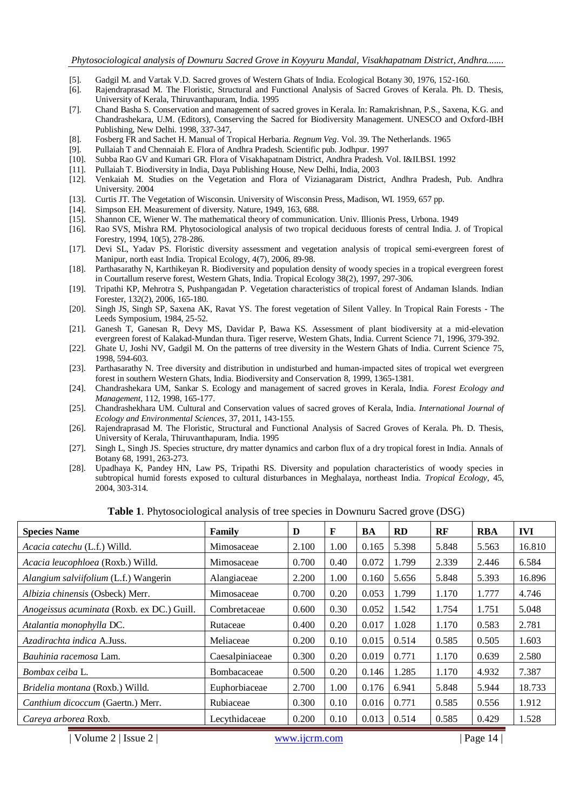- [5]. Gadgil M. and Vartak V.D. Sacred groves of Western Ghats of India. Ecological Botany 30, 1976, 152-160.
- Rajendraprasad M. The Floristic, Structural and Functional Analysis of Sacred Groves of Kerala. Ph. D. Thesis, University of Kerala, Thiruvanthapuram, India. 1995
- [7]. Chand Basha S. Conservation and management of sacred groves in Kerala. In: Ramakrishnan, P.S., Saxena, K.G. and Chandrashekara, U.M. (Editors), Conserving the Sacred for Biodiversity Management. UNESCO and Oxford-IBH Publishing, New Delhi. 1998, 337-347,
- [8]. Fosberg FR and Sachet H. Manual of Tropical Herbaria. *Regnum Veg*. Vol. 39. The Netherlands. 1965
- [9]. Pullaiah T and Chennaiah E. Flora of Andhra Pradesh. Scientific pub. Jodhpur. 1997
- [10]. Subba Rao GV and Kumari GR. Flora of Visakhapatnam District, Andhra Pradesh. Vol. I&II.BSI. 1992
- [11]. Pullaiah T. Biodiversity in India, Daya Publishing House, New Delhi, India, 2003
- [12]. Venkaiah M. Studies on the Vegetation and Flora of Vizianagaram District, Andhra Pradesh, Pub. Andhra University. 2004
- [13]. Curtis JT. The Vegetation of Wisconsin. University of Wisconsin Press, Madison, WI. 1959, 657 pp.
- [14]. Simpson EH. Measurement of diversity. Nature, 1949, 163, 688.
- [15]. Shannon CE, Wiener W. The mathematical theory of communication. Univ. Illionis Press, Urbona. 1949
- [16]. Rao SVS, Mishra RM. Phytosociological analysis of two tropical deciduous forests of central India. J. of Tropical Forestry, 1994, 10(5), 278-286.
- [17]. Devi SL, Yadav PS. Floristic diversity assessment and vegetation analysis of tropical semi-evergreen forest of Manipur, north east India. Tropical Ecology, 4(7), 2006, 89-98.
- [18]. Parthasarathy N, Karthikeyan R. Biodiversity and population density of woody species in a tropical evergreen forest in Courtallum reserve forest, Western Ghats, India. Tropical Ecology 38(2), 1997, 297-306.
- [19]. Tripathi KP, Mehrotra S, Pushpangadan P. Vegetation characteristics of tropical forest of Andaman Islands. Indian Forester, 132(2), 2006, 165-180.
- [20]. Singh JS, Singh SP, Saxena AK, Ravat YS. The forest vegetation of Silent Valley. In Tropical Rain Forests The Leeds Symposium, 1984, 25-52.
- [21]. Ganesh T, Ganesan R, Devy MS, Davidar P, Bawa KS. Assessment of plant biodiversity at a mid-elevation evergreen forest of Kalakad-Mundan thura. Tiger reserve, Western Ghats, India. Current Science 71, 1996, 379-392.
- [22]. Ghate U, Joshi NV, Gadgil M. On the patterns of tree diversity in the Western Ghats of India. Current Science 75, 1998, 594-603.
- [23]. Parthasarathy N. Tree diversity and distribution in undisturbed and human-impacted sites of tropical wet evergreen forest in southern Western Ghats, India. Biodiversity and Conservation 8, 1999, 1365-1381.
- [24]. Chandrashekara UM, Sankar S. Ecology and management of sacred groves in Kerala, India. *Forest Ecology and Management*, 112, 1998, 165-177.
- [25]. Chandrashekhara UM. Cultural and Conservation values of sacred groves of Kerala, India. *International Journal of Ecology and Environmental Sciences*, 37, 2011, 143-155.
- [26]. Rajendraprasad M. The Floristic, Structural and Functional Analysis of Sacred Groves of Kerala. Ph. D. Thesis, University of Kerala, Thiruvanthapuram, India. 1995
- [27]. Singh L, Singh JS. Species structure, dry matter dynamics and carbon flux of a dry tropical forest in India. Annals of Botany 68, 1991, 263-273.
- [28]. Upadhaya K, Pandey HN, Law PS, Tripathi RS. Diversity and population characteristics of woody species in subtropical humid forests exposed to cultural disturbances in Meghalaya, northeast India. *Tropical Ecology*, 45, 2004, 303-314.

**Table 1**. Phytosociological analysis of tree species in Downuru Sacred grove (DSG)

| <b>Species Name</b>                        | Family          | D     | F    | BA    | <b>RD</b> | RF    | <b>RBA</b> | <b>IVI</b> |
|--------------------------------------------|-----------------|-------|------|-------|-----------|-------|------------|------------|
| Acacia catechu (L.f.) Willd.               | Mimosaceae      | 2.100 | 1.00 | 0.165 | 5.398     | 5.848 | 5.563      | 16.810     |
| Acacia leucophloea (Roxb.) Willd.          | Mimosaceae      | 0.700 | 0.40 | 0.072 | 1.799     | 2.339 | 2.446      | 6.584      |
| Alangium salviifolium (L.f.) Wangerin      | Alangiaceae     | 2.200 | 1.00 | 0.160 | 5.656     | 5.848 | 5.393      | 16.896     |
| Albizia chinensis (Osbeck) Merr.           | Mimosaceae      | 0.700 | 0.20 | 0.053 | 1.799     | 1.170 | 1.777      | 4.746      |
| Anogeissus acuminata (Roxb. ex DC.) Guill. | Combretaceae    | 0.600 | 0.30 | 0.052 | 1.542     | 1.754 | 1.751      | 5.048      |
| Atalantia monophylla DC.                   | Rutaceae        | 0.400 | 0.20 | 0.017 | 1.028     | 1.170 | 0.583      | 2.781      |
| Azadirachta indica A.Juss.                 | Meliaceae       | 0.200 | 0.10 | 0.015 | 0.514     | 0.585 | 0.505      | 1.603      |
| <i>Bauhinia racemosa</i> Lam.              | Caesalpiniaceae | 0.300 | 0.20 | 0.019 | 0.771     | 1.170 | 0.639      | 2.580      |
| Bombax ceiba L.                            | Bombacaceae     | 0.500 | 0.20 | 0.146 | 1.285     | 1.170 | 4.932      | 7.387      |
| Bridelia montana (Roxb.) Willd.            | Euphorbiaceae   | 2.700 | 1.00 | 0.176 | 6.941     | 5.848 | 5.944      | 18.733     |
| Canthium dicoccum (Gaertn.) Merr.          | Rubiaceae       | 0.300 | 0.10 | 0.016 | 0.771     | 0.585 | 0.556      | 1.912      |
| Careva arborea Roxb.                       | Lecythidaceae   | 0.200 | 0.10 | 0.013 | 0.514     | 0.585 | 0.429      | 1.528      |

| Volume 2 | Issue 2 | www.ijcrm.com | Page 14 | Page 14 | Page 14 | Page 14 | Page 14 | Page 14 | Page 14 | Page 14 | Page 14 | Page 14 | Page 14 | Page 14 | Page 14 | Page 14 | Page 14 | Page 14 | Page 14 | Page 14 | Pag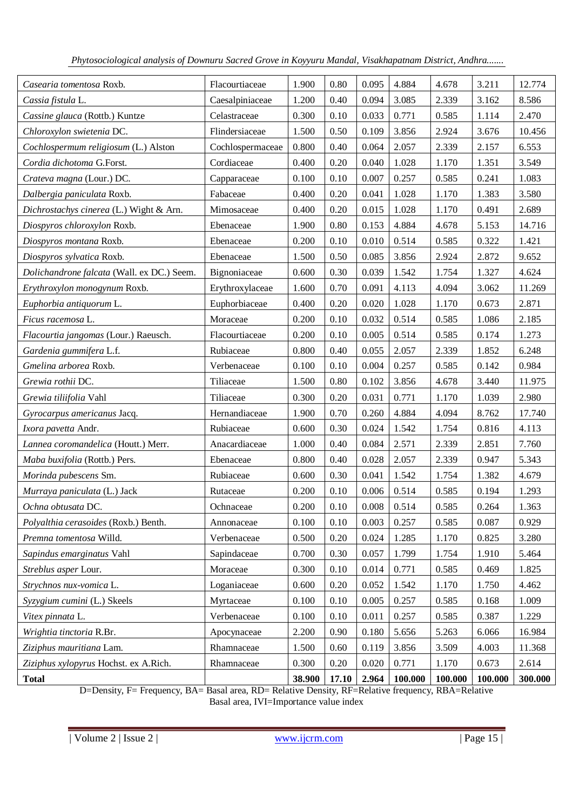| Casearia tomentosa Roxb.                   | Flacourtiaceae   | 1.900  | 0.80     | 0.095 | 4.884   | 4.678   | 3.211   | 12.774  |
|--------------------------------------------|------------------|--------|----------|-------|---------|---------|---------|---------|
| Cassia fistula L.                          | Caesalpiniaceae  | 1.200  | 0.40     | 0.094 | 3.085   | 2.339   | 3.162   | 8.586   |
| Cassine glauca (Rottb.) Kuntze             | Celastraceae     | 0.300  | 0.10     | 0.033 | 0.771   | 0.585   | 1.114   | 2.470   |
| Chloroxylon swietenia DC.                  | Flindersiaceae   | 1.500  | 0.50     | 0.109 | 3.856   | 2.924   | 3.676   | 10.456  |
| Cochlospermum religiosum (L.) Alston       | Cochlospermaceae | 0.800  | 0.40     | 0.064 | 2.057   | 2.339   | 2.157   | 6.553   |
| Cordia dichotoma G.Forst.                  | Cordiaceae       | 0.400  | 0.20     | 0.040 | 1.028   | 1.170   | 1.351   | 3.549   |
| Crateva magna (Lour.) DC.                  | Capparaceae      | 0.100  | 0.10     | 0.007 | 0.257   | 0.585   | 0.241   | 1.083   |
| Dalbergia paniculata Roxb.                 | Fabaceae         | 0.400  | 0.20     | 0.041 | 1.028   | 1.170   | 1.383   | 3.580   |
| Dichrostachys cinerea (L.) Wight & Arn.    | Mimosaceae       | 0.400  | 0.20     | 0.015 | 1.028   | 1.170   | 0.491   | 2.689   |
| Diospyros chloroxylon Roxb.                | Ebenaceae        | 1.900  | 0.80     | 0.153 | 4.884   | 4.678   | 5.153   | 14.716  |
| Diospyros montana Roxb.                    | Ebenaceae        | 0.200  | 0.10     | 0.010 | 0.514   | 0.585   | 0.322   | 1.421   |
| Diospyros sylvatica Roxb.                  | Ebenaceae        | 1.500  | 0.50     | 0.085 | 3.856   | 2.924   | 2.872   | 9.652   |
| Dolichandrone falcata (Wall. ex DC.) Seem. | Bignoniaceae     | 0.600  | 0.30     | 0.039 | 1.542   | 1.754   | 1.327   | 4.624   |
| Erythroxylon monogynum Roxb.               | Erythroxylaceae  | 1.600  | 0.70     | 0.091 | 4.113   | 4.094   | 3.062   | 11.269  |
| Euphorbia antiquorum L.                    | Euphorbiaceae    | 0.400  | 0.20     | 0.020 | 1.028   | 1.170   | 0.673   | 2.871   |
| Ficus racemosa L.                          | Moraceae         | 0.200  | $0.10\,$ | 0.032 | 0.514   | 0.585   | 1.086   | 2.185   |
| Flacourtia jangomas (Lour.) Raeusch.       | Flacourtiaceae   | 0.200  | 0.10     | 0.005 | 0.514   | 0.585   | 0.174   | 1.273   |
| Gardenia gummifera L.f.                    | Rubiaceae        | 0.800  | 0.40     | 0.055 | 2.057   | 2.339   | 1.852   | 6.248   |
| Gmelina arborea Roxb.                      | Verbenaceae      | 0.100  | 0.10     | 0.004 | 0.257   | 0.585   | 0.142   | 0.984   |
| Grewia rothii DC.                          | Tiliaceae        | 1.500  | 0.80     | 0.102 | 3.856   | 4.678   | 3.440   | 11.975  |
| Grewia tiliifolia Vahl                     | Tiliaceae        | 0.300  | 0.20     | 0.031 | 0.771   | 1.170   | 1.039   | 2.980   |
| Gyrocarpus americanus Jacq.                | Hernandiaceae    | 1.900  | 0.70     | 0.260 | 4.884   | 4.094   | 8.762   | 17.740  |
| Ixora pavetta Andr.                        | Rubiaceae        | 0.600  | 0.30     | 0.024 | 1.542   | 1.754   | 0.816   | 4.113   |
| Lannea coromandelica (Houtt.) Merr.        | Anacardiaceae    | 1.000  | 0.40     | 0.084 | 2.571   | 2.339   | 2.851   | 7.760   |
| Maba buxifolia (Rottb.) Pers.              | Ebenaceae        | 0.800  | 0.40     | 0.028 | 2.057   | 2.339   | 0.947   | 5.343   |
| Morinda pubescens Sm.                      | Rubiaceae        | 0.600  | 0.30     | 0.041 | 1.542   | 1.754   | 1.382   | 4.679   |
| Murraya paniculata (L.) Jack               | Rutaceae         | 0.200  | 0.10     | 0.006 | 0.514   | 0.585   | 0.194   | 1.293   |
| Ochna obtusata DC.                         | Ochnaceae        | 0.200  | 0.10     | 0.008 | 0.514   | 0.585   | 0.264   | 1.363   |
| Polyalthia cerasoides (Roxb.) Benth.       | Annonaceae       | 0.100  | 0.10     | 0.003 | 0.257   | 0.585   | 0.087   | 0.929   |
| Premna tomentosa Willd.                    | Verbenaceae      | 0.500  | 0.20     | 0.024 | 1.285   | 1.170   | 0.825   | 3.280   |
| Sapindus emarginatus Vahl                  | Sapindaceae      | 0.700  | 0.30     | 0.057 | 1.799   | 1.754   | 1.910   | 5.464   |
| Streblus asper Lour.                       | Moraceae         | 0.300  | 0.10     | 0.014 | 0.771   | 0.585   | 0.469   | 1.825   |
| Strychnos nux-vomica L.                    | Loganiaceae      | 0.600  | 0.20     | 0.052 | 1.542   | 1.170   | 1.750   | 4.462   |
| Syzygium cumini (L.) Skeels                | Myrtaceae        | 0.100  | 0.10     | 0.005 | 0.257   | 0.585   | 0.168   | 1.009   |
| Vitex pinnata L.                           | Verbenaceae      | 0.100  | 0.10     | 0.011 | 0.257   | 0.585   | 0.387   | 1.229   |
| Wrightia tinctoria R.Br.                   | Apocynaceae      | 2.200  | 0.90     | 0.180 | 5.656   | 5.263   | 6.066   | 16.984  |
| Ziziphus mauritiana Lam.                   | Rhamnaceae       | 1.500  | 0.60     | 0.119 | 3.856   | 3.509   | 4.003   | 11.368  |
| Ziziphus xylopyrus Hochst. ex A.Rich.      | Rhamnaceae       | 0.300  | 0.20     | 0.020 | 0.771   | 1.170   | 0.673   | 2.614   |
| <b>Total</b>                               |                  | 38.900 | 17.10    | 2.964 | 100.000 | 100.000 | 100.000 | 300.000 |

D=Density, F= Frequency, BA= Basal area, RD= Relative Density, RF=Relative frequency, RBA=Relative Basal area, IVI=Importance value index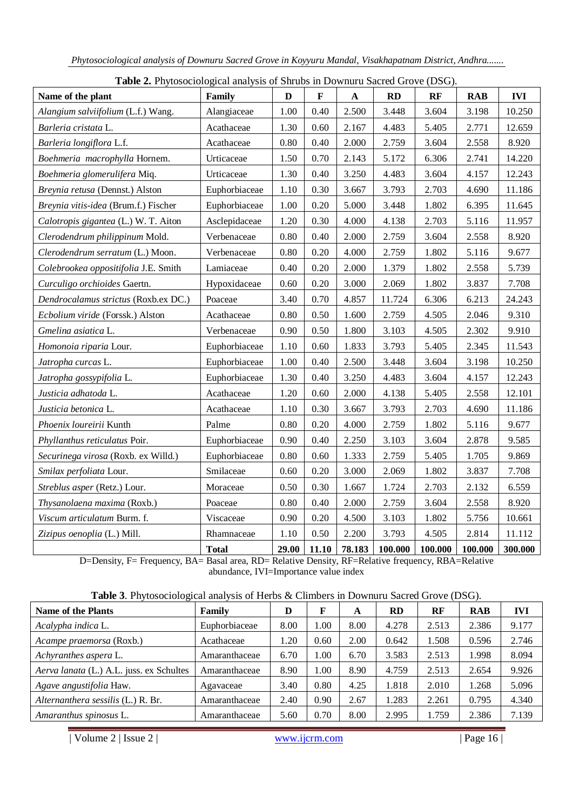| <b>Table 2.</b> I hydsociological analysis of Shrubs in Downulu Sacred Grove (DSG).<br>Name of the plant | Family        | $\mathbf{D}$ | $\mathbf F$ | $\mathbf A$ | <b>RD</b> | RF      | <b>RAB</b> | <b>IVI</b> |
|----------------------------------------------------------------------------------------------------------|---------------|--------------|-------------|-------------|-----------|---------|------------|------------|
| Alangium salviifolium (L.f.) Wang.                                                                       | Alangiaceae   | 1.00         | 0.40        | 2.500       | 3.448     | 3.604   | 3.198      | 10.250     |
| Barleria cristata L.                                                                                     | Acathaceae    | 1.30         | 0.60        | 2.167       | 4.483     | 5.405   | 2.771      | 12.659     |
| Barleria longiflora L.f.                                                                                 | Acathaceae    | 0.80         | 0.40        | 2.000       | 2.759     | 3.604   | 2.558      | 8.920      |
| Boehmeria macrophylla Hornem.                                                                            | Urticaceae    | 1.50         | 0.70        | 2.143       | 5.172     | 6.306   | 2.741      | 14.220     |
| Boehmeria glomerulifera Miq.                                                                             | Urticaceae    | 1.30         | 0.40        | 3.250       | 4.483     | 3.604   | 4.157      | 12.243     |
| Breynia retusa (Dennst.) Alston                                                                          | Euphorbiaceae | 1.10         | 0.30        | 3.667       | 3.793     | 2.703   | 4.690      | 11.186     |
| Breynia vitis-idea (Brum.f.) Fischer                                                                     | Euphorbiaceae | 1.00         | 0.20        | 5.000       | 3.448     | 1.802   | 6.395      | 11.645     |
| Calotropis gigantea (L.) W. T. Aiton                                                                     | Asclepidaceae | 1.20         | 0.30        | 4.000       | 4.138     | 2.703   | 5.116      | 11.957     |
| Clerodendrum philippinum Mold.                                                                           | Verbenaceae   | 0.80         | 0.40        | 2.000       | 2.759     | 3.604   | 2.558      | 8.920      |
| Clerodendrum serratum (L.) Moon.                                                                         | Verbenaceae   | 0.80         | 0.20        | 4.000       | 2.759     | 1.802   | 5.116      | 9.677      |
| Colebrookea oppositifolia J.E. Smith                                                                     | Lamiaceae     | 0.40         | 0.20        | 2.000       | 1.379     | 1.802   | 2.558      | 5.739      |
| Curculigo orchioides Gaertn.                                                                             | Hypoxidaceae  | 0.60         | 0.20        | 3.000       | 2.069     | 1.802   | 3.837      | 7.708      |
| Dendrocalamus strictus (Roxb.ex DC.)                                                                     | Poaceae       | 3.40         | 0.70        | 4.857       | 11.724    | 6.306   | 6.213      | 24.243     |
| Ecbolium viride (Forssk.) Alston                                                                         | Acathaceae    | 0.80         | 0.50        | 1.600       | 2.759     | 4.505   | 2.046      | 9.310      |
| Gmelina asiatica L.                                                                                      | Verbenaceae   | 0.90         | 0.50        | 1.800       | 3.103     | 4.505   | 2.302      | 9.910      |
| Homonoia riparia Lour.                                                                                   | Euphorbiaceae | 1.10         | 0.60        | 1.833       | 3.793     | 5.405   | 2.345      | 11.543     |
| Jatropha curcas L.                                                                                       | Euphorbiaceae | 1.00         | 0.40        | 2.500       | 3.448     | 3.604   | 3.198      | 10.250     |
| Jatropha gossypifolia L.                                                                                 | Euphorbiaceae | 1.30         | 0.40        | 3.250       | 4.483     | 3.604   | 4.157      | 12.243     |
| Justicia adhatoda L.                                                                                     | Acathaceae    | 1.20         | 0.60        | 2.000       | 4.138     | 5.405   | 2.558      | 12.101     |
| Justicia betonica L.                                                                                     | Acathaceae    | 1.10         | 0.30        | 3.667       | 3.793     | 2.703   | 4.690      | 11.186     |
| Phoenix loureirii Kunth                                                                                  | Palme         | 0.80         | 0.20        | 4.000       | 2.759     | 1.802   | 5.116      | 9.677      |
| Phyllanthus reticulatus Poir.                                                                            | Euphorbiaceae | 0.90         | 0.40        | 2.250       | 3.103     | 3.604   | 2.878      | 9.585      |
| Securinega virosa (Roxb. ex Willd.)                                                                      | Euphorbiaceae | 0.80         | 0.60        | 1.333       | 2.759     | 5.405   | 1.705      | 9.869      |
| Smilax perfoliata Lour.                                                                                  | Smilaceae     | 0.60         | 0.20        | 3.000       | 2.069     | 1.802   | 3.837      | 7.708      |
| Streblus asper (Retz.) Lour.                                                                             | Moraceae      | 0.50         | 0.30        | 1.667       | 1.724     | 2.703   | 2.132      | 6.559      |
| Thysanolaena maxima (Roxb.)                                                                              | Poaceae       | 0.80         | 0.40        | 2.000       | 2.759     | 3.604   | 2.558      | 8.920      |
| Viscum articulatum Burm. f.                                                                              | Viscaceae     | 0.90         | 0.20        | 4.500       | 3.103     | 1.802   | 5.756      | 10.661     |
| Zizipus oenoplia (L.) Mill.                                                                              | Rhamnaceae    | 1.10         | 0.50        | 2.200       | 3.793     | 4.505   | 2.814      | 11.112     |
|                                                                                                          | <b>Total</b>  | 29.00        | 11.10       | 78.183      | 100.000   | 100.000 | 100.000    | 300.000    |

**Table 2.** Phytosociological analysis of Shrubs in Downuru Sacred Grove (DSG).

D=Density, F= Frequency, BA= Basal area, RD= Relative Density, RF=Relative frequency, RBA=Relative abundance, IVI=Importance value index

|  |  | <b>Table 3.</b> Phytosociological analysis of Herbs & Climbers in Downuru Sacred Grove (DSG). |  |  |  |  |
|--|--|-----------------------------------------------------------------------------------------------|--|--|--|--|
|--|--|-----------------------------------------------------------------------------------------------|--|--|--|--|

| <b>Name of the Plants</b>                | Family        | D    | F    | A    | <b>RD</b> | RF    | <b>RAB</b> | <b>IVI</b> |
|------------------------------------------|---------------|------|------|------|-----------|-------|------------|------------|
| Acalypha indica L.                       | Euphorbiaceae | 8.00 | 1.00 | 8.00 | 4.278     | 2.513 | 2.386      | 9.177      |
| Acampe praemorsa (Roxb.)                 | Acathaceae    | 1.20 | 0.60 | 2.00 | 0.642     | 1.508 | 0.596      | 2.746      |
| Achyranthes aspera L.                    | Amaranthaceae | 6.70 | 1.00 | 6.70 | 3.583     | 2.513 | 1.998      | 8.094      |
| Aerva lanata (L.) A.L. juss. ex Schultes | Amaranthaceae | 8.90 | 1.00 | 8.90 | 4.759     | 2.513 | 2.654      | 9.926      |
| Agave angustifolia Haw.                  | Agavaceae     | 3.40 | 0.80 | 4.25 | 1.818     | 2.010 | 1.268      | 5.096      |
| Alternanthera sessilis (L.) R. Br.       | Amaranthaceae | 2.40 | 0.90 | 2.67 | 1.283     | 2.261 | 0.795      | 4.340      |
| Amaranthus spinosus L.                   | Amaranthaceae | 5.60 | 0.70 | 8.00 | 2.995     | 1.759 | 2.386      | 7.139      |

| Volume 2 | Issue 2 | www.ijcrm.com | Page 16 |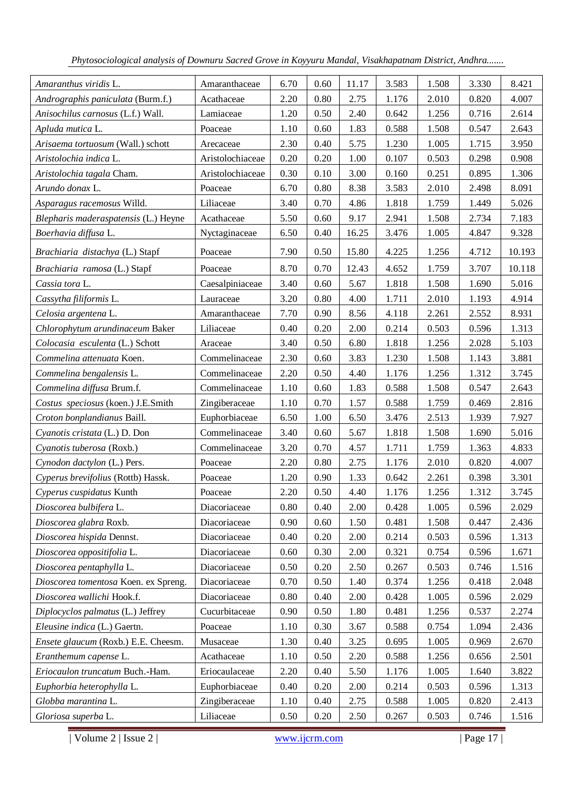| Amaranthus viridis L.                | Amaranthaceae    | 6.70 | 0.60     | 11.17 | 3.583 | 1.508 | 3.330 | 8.421  |
|--------------------------------------|------------------|------|----------|-------|-------|-------|-------|--------|
| Andrographis paniculata (Burm.f.)    | Acathaceae       | 2.20 | 0.80     | 2.75  | 1.176 | 2.010 | 0.820 | 4.007  |
| Anisochilus carnosus (L.f.) Wall.    | Lamiaceae        | 1.20 | 0.50     | 2.40  | 0.642 | 1.256 | 0.716 | 2.614  |
| Apluda mutica L.                     | Poaceae          | 1.10 | 0.60     | 1.83  | 0.588 | 1.508 | 0.547 | 2.643  |
| Arisaema tortuosum (Wall.) schott    | Arecaceae        | 2.30 | 0.40     | 5.75  | 1.230 | 1.005 | 1.715 | 3.950  |
| Aristolochia indica L.               | Aristolochiaceae | 0.20 | 0.20     | 1.00  | 0.107 | 0.503 | 0.298 | 0.908  |
| Aristolochia tagala Cham.            | Aristolochiaceae | 0.30 | 0.10     | 3.00  | 0.160 | 0.251 | 0.895 | 1.306  |
| Arundo donax L.                      | Poaceae          | 6.70 | 0.80     | 8.38  | 3.583 | 2.010 | 2.498 | 8.091  |
| Asparagus racemosus Willd.           | Liliaceae        | 3.40 | 0.70     | 4.86  | 1.818 | 1.759 | 1.449 | 5.026  |
| Blepharis maderaspatensis (L.) Heyne | Acathaceae       | 5.50 | 0.60     | 9.17  | 2.941 | 1.508 | 2.734 | 7.183  |
| Boerhavia diffusa L.                 | Nyctaginaceae    | 6.50 | 0.40     | 16.25 | 3.476 | 1.005 | 4.847 | 9.328  |
| Brachiaria distachya (L.) Stapf      | Poaceae          | 7.90 | 0.50     | 15.80 | 4.225 | 1.256 | 4.712 | 10.193 |
| Brachiaria ramosa (L.) Stapf         | Poaceae          | 8.70 | 0.70     | 12.43 | 4.652 | 1.759 | 3.707 | 10.118 |
| Cassia tora L.                       | Caesalpiniaceae  | 3.40 | 0.60     | 5.67  | 1.818 | 1.508 | 1.690 | 5.016  |
| Cassytha filiformis L.               | Lauraceae        | 3.20 | 0.80     | 4.00  | 1.711 | 2.010 | 1.193 | 4.914  |
| Celosia argentena L.                 | Amaranthaceae    | 7.70 | 0.90     | 8.56  | 4.118 | 2.261 | 2.552 | 8.931  |
| Chlorophytum arundinaceum Baker      | Liliaceae        | 0.40 | 0.20     | 2.00  | 0.214 | 0.503 | 0.596 | 1.313  |
| Colocasia esculenta (L.) Schott      | Araceae          | 3.40 | 0.50     | 6.80  | 1.818 | 1.256 | 2.028 | 5.103  |
| Commelina attenuata Koen.            | Commelinaceae    | 2.30 | 0.60     | 3.83  | 1.230 | 1.508 | 1.143 | 3.881  |
| Commelina bengalensis L.             | Commelinaceae    | 2.20 | 0.50     | 4.40  | 1.176 | 1.256 | 1.312 | 3.745  |
| Commelina diffusa Brum.f.            | Commelinaceae    | 1.10 | 0.60     | 1.83  | 0.588 | 1.508 | 0.547 | 2.643  |
| Costus speciosus (koen.) J.E.Smith   | Zingiberaceae    | 1.10 | 0.70     | 1.57  | 0.588 | 1.759 | 0.469 | 2.816  |
| Croton bonplandianus Baill.          | Euphorbiaceae    | 6.50 | 1.00     | 6.50  | 3.476 | 2.513 | 1.939 | 7.927  |
| Cyanotis cristata (L.) D. Don        | Commelinaceae    | 3.40 | 0.60     | 5.67  | 1.818 | 1.508 | 1.690 | 5.016  |
| Cyanotis tuberosa (Roxb.)            | Commelinaceae    | 3.20 | 0.70     | 4.57  | 1.711 | 1.759 | 1.363 | 4.833  |
| Cynodon dactylon (L.) Pers.          | Poaceae          | 2.20 | $0.80\,$ | 2.75  | 1.176 | 2.010 | 0.820 | 4.007  |
| Cyperus brevifolius (Rottb) Hassk.   | Poaceae          | 1.20 | 0.90     | 1.33  | 0.642 | 2.261 | 0.398 | 3.301  |
| Cyperus cuspidatus Kunth             | Poaceae          | 2.20 | 0.50     | 4.40  | 1.176 | 1.256 | 1.312 | 3.745  |
| Dioscorea bulbifera L.               | Diacoriaceae     | 0.80 | 0.40     | 2.00  | 0.428 | 1.005 | 0.596 | 2.029  |
| Dioscorea glabra Roxb.               | Diacoriaceae     | 0.90 | 0.60     | 1.50  | 0.481 | 1.508 | 0.447 | 2.436  |
| Dioscorea hispida Dennst.            | Diacoriaceae     | 0.40 | 0.20     | 2.00  | 0.214 | 0.503 | 0.596 | 1.313  |
| Dioscorea oppositifolia L.           | Diacoriaceae     | 0.60 | 0.30     | 2.00  | 0.321 | 0.754 | 0.596 | 1.671  |
| Dioscorea pentaphylla L.             | Diacoriaceae     | 0.50 | 0.20     | 2.50  | 0.267 | 0.503 | 0.746 | 1.516  |
| Dioscorea tomentosa Koen. ex Spreng. | Diacoriaceae     | 0.70 | 0.50     | 1.40  | 0.374 | 1.256 | 0.418 | 2.048  |
| Dioscorea wallichi Hook.f.           | Diacoriaceae     | 0.80 | 0.40     | 2.00  | 0.428 | 1.005 | 0.596 | 2.029  |
| Diplocyclos palmatus (L.) Jeffrey    | Cucurbitaceae    | 0.90 | 0.50     | 1.80  | 0.481 | 1.256 | 0.537 | 2.274  |
| Eleusine indica (L.) Gaertn.         | Poaceae          | 1.10 | 0.30     | 3.67  | 0.588 | 0.754 | 1.094 | 2.436  |
| Ensete glaucum (Roxb.) E.E. Cheesm.  | Musaceae         | 1.30 | 0.40     | 3.25  | 0.695 | 1.005 | 0.969 | 2.670  |
| Eranthemum capense L.                | Acathaceae       | 1.10 | 0.50     | 2.20  | 0.588 | 1.256 | 0.656 | 2.501  |
| Eriocaulon truncatum Buch.-Ham.      | Eriocaulaceae    | 2.20 | 0.40     | 5.50  | 1.176 | 1.005 | 1.640 | 3.822  |
| Euphorbia heterophylla L.            | Euphorbiaceae    | 0.40 | 0.20     | 2.00  | 0.214 | 0.503 | 0.596 | 1.313  |
| Globba marantina L.                  | Zingiberaceae    | 1.10 | 0.40     | 2.75  | 0.588 | 1.005 | 0.820 | 2.413  |
| Gloriosa superba L.                  | Liliaceae        | 0.50 | 0.20     | 2.50  | 0.267 | 0.503 | 0.746 | 1.516  |

| Volume 2 | Issue 2 | www.ijcrm.com | Page 17 | Page 17 | Page 17 | Page 17 | Page 17 | Page 17 | Page 17 | Page 17 | Page 17 | Page 17 | Page 17 | Page 17 | Page 17 | Page 17 | Page 17 | Page 17 | Page 17 | Page 17 | Pag